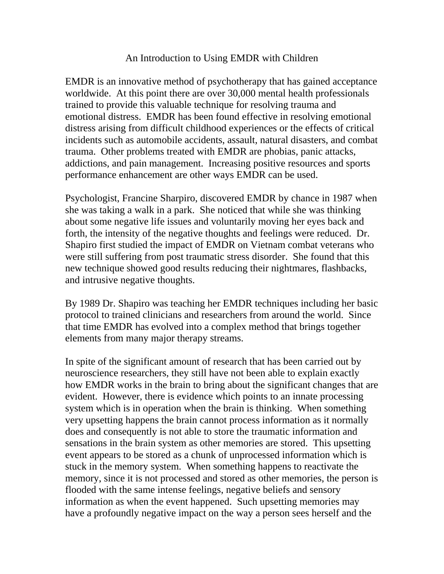## An Introduction to Using EMDR with Children

EMDR is an innovative method of psychotherapy that has gained acceptance worldwide. At this point there are over 30,000 mental health professionals trained to provide this valuable technique for resolving trauma and emotional distress. EMDR has been found effective in resolving emotional distress arising from difficult childhood experiences or the effects of critical incidents such as automobile accidents, assault, natural disasters, and combat trauma. Other problems treated with EMDR are phobias, panic attacks, addictions, and pain management. Increasing positive resources and sports performance enhancement are other ways EMDR can be used.

Psychologist, Francine Sharpiro, discovered EMDR by chance in 1987 when she was taking a walk in a park. She noticed that while she was thinking about some negative life issues and voluntarily moving her eyes back and forth, the intensity of the negative thoughts and feelings were reduced. Dr. Shapiro first studied the impact of EMDR on Vietnam combat veterans who were still suffering from post traumatic stress disorder. She found that this new technique showed good results reducing their nightmares, flashbacks, and intrusive negative thoughts.

By 1989 Dr. Shapiro was teaching her EMDR techniques including her basic protocol to trained clinicians and researchers from around the world. Since that time EMDR has evolved into a complex method that brings together elements from many major therapy streams.

In spite of the significant amount of research that has been carried out by neuroscience researchers, they still have not been able to explain exactly how EMDR works in the brain to bring about the significant changes that are evident. However, there is evidence which points to an innate processing system which is in operation when the brain is thinking. When something very upsetting happens the brain cannot process information as it normally does and consequently is not able to store the traumatic information and sensations in the brain system as other memories are stored. This upsetting event appears to be stored as a chunk of unprocessed information which is stuck in the memory system. When something happens to reactivate the memory, since it is not processed and stored as other memories, the person is flooded with the same intense feelings, negative beliefs and sensory information as when the event happened. Such upsetting memories may have a profoundly negative impact on the way a person sees herself and the